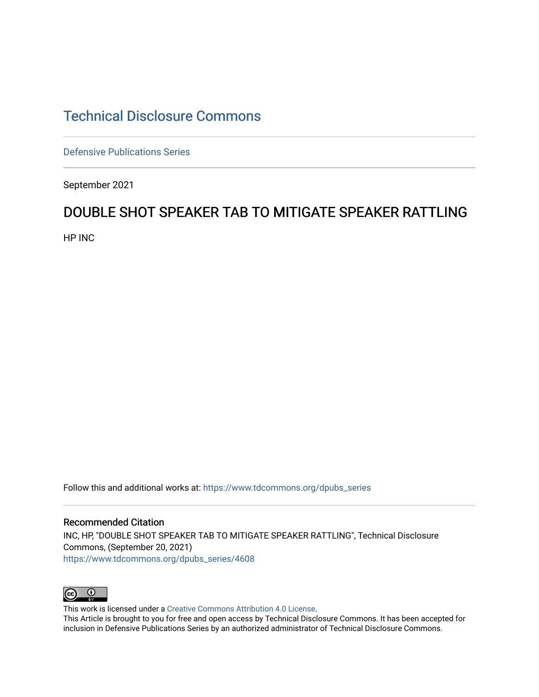# [Technical Disclosure Commons](https://www.tdcommons.org/)

[Defensive Publications Series](https://www.tdcommons.org/dpubs_series)

September 2021

## DOUBLE SHOT SPEAKER TAB TO MITIGATE SPEAKER RATTLING

HP INC

Follow this and additional works at: [https://www.tdcommons.org/dpubs\\_series](https://www.tdcommons.org/dpubs_series?utm_source=www.tdcommons.org%2Fdpubs_series%2F4608&utm_medium=PDF&utm_campaign=PDFCoverPages) 

Recommended Citation INC, HP, "DOUBLE SHOT SPEAKER TAB TO MITIGATE SPEAKER RATTLING", Technical Disclosure Commons, (September 20, 2021) [https://www.tdcommons.org/dpubs\\_series/4608](https://www.tdcommons.org/dpubs_series/4608?utm_source=www.tdcommons.org%2Fdpubs_series%2F4608&utm_medium=PDF&utm_campaign=PDFCoverPages)



This work is licensed under a [Creative Commons Attribution 4.0 License](http://creativecommons.org/licenses/by/4.0/deed.en_US).

This Article is brought to you for free and open access by Technical Disclosure Commons. It has been accepted for inclusion in Defensive Publications Series by an authorized administrator of Technical Disclosure Commons.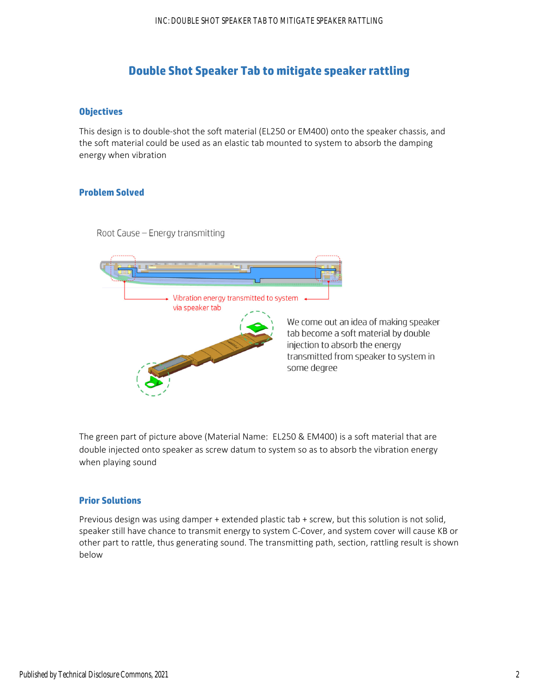## **Double Shot Speaker Tab to mitigate speaker rattling**

## **Objectives**

This design is to double‐shot the soft material (EL250 or EM400) onto the speaker chassis, and the soft material could be used as an elastic tab mounted to system to absorb the damping energy when vibration

## **Problem Solved**

Root Cause - Energy transmitting



The green part of picture above (Material Name: EL250 & EM400) is a soft material that are double injected onto speaker as screw datum to system so as to absorb the vibration energy when playing sound

#### **Prior Solutions**

Previous design was using damper + extended plastic tab + screw, but this solution is not solid, speaker still have chance to transmit energy to system C-Cover, and system cover will cause KB or other part to rattle, thus generating sound. The transmitting path, section, rattling result is shown below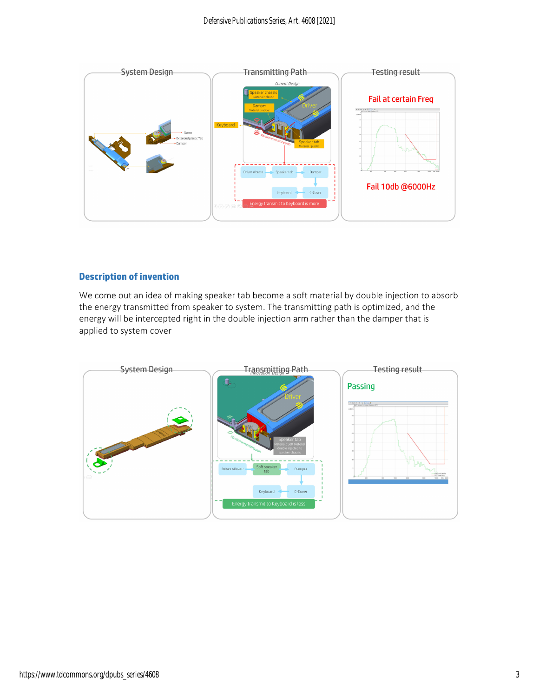

## **Description of invention**

We come out an idea of making speaker tab become a soft material by double injection to absorb the energy transmitted from speaker to system. The transmitting path is optimized, and the energy will be intercepted right in the double injection arm rather than the damper that is applied to system cover

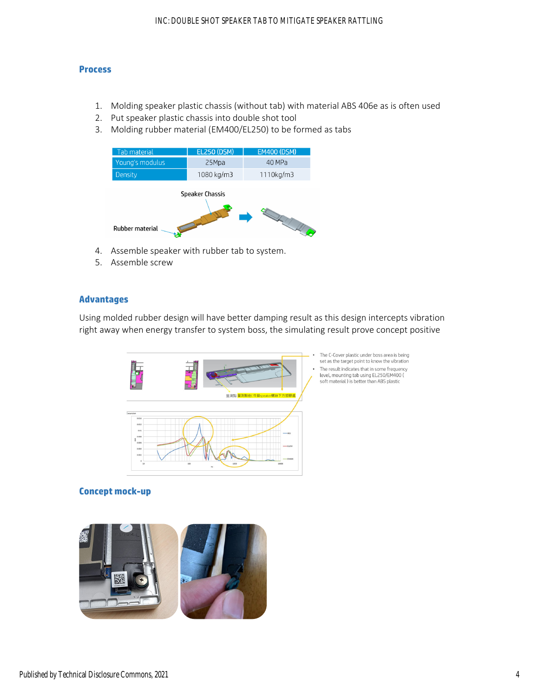#### **Process**

- 1. Molding speaker plastic chassis (without tab) with material ABS 406e as is often used
- 2. Put speaker plastic chassis into double shot tool
- 3. Molding rubber material (EM400/EL250) to be formed as tabs

| <b>Tab material</b>                              | <b>EL250 (DSM)</b> | <b>EM400 (DSM)</b> |
|--------------------------------------------------|--------------------|--------------------|
| Young's modulus                                  | 25Mpa              | 40 MPa             |
| <b>Density</b>                                   | 1080 kg/m3         | 1110kg/m3          |
| <b>Speaker Chassis</b><br><b>Rubber material</b> |                    |                    |

- 4. Assemble speaker with rubber tab to system.
- 5. Assemble screw

## **Advantages**

Using molded rubber design will have better damping result as this design intercepts vibration right away when energy transfer to system boss, the simulating result prove concept positive



The C-Cover plastic under boss area is being set as the target point to know the vibration The result indicates that in some frequency level, mounting tab using EL250/EM400 ( soft material) is better than ABS plastic

## **Concept mock-up**